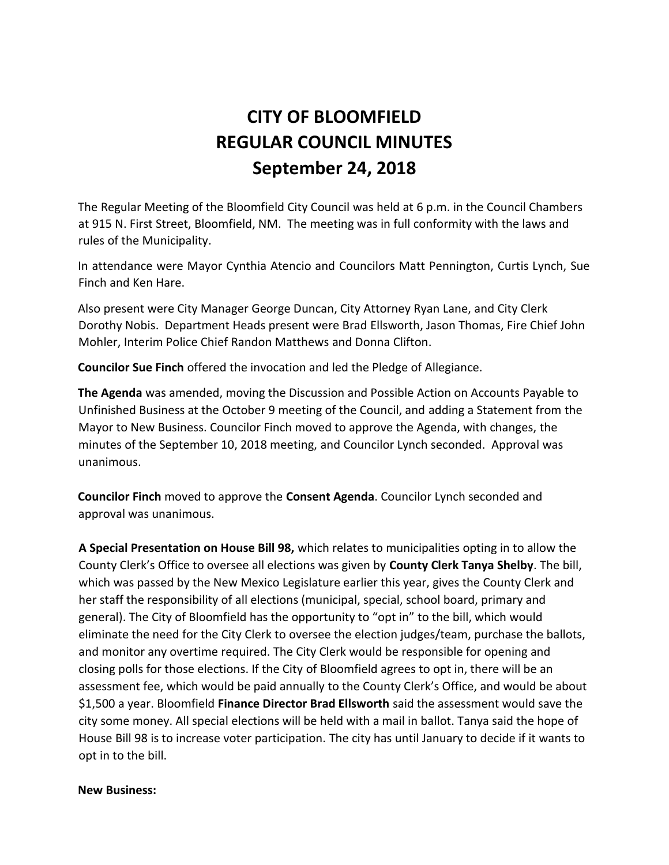# **CITY OF BLOOMFIELD REGULAR COUNCIL MINUTES September 24, 2018**

The Regular Meeting of the Bloomfield City Council was held at 6 p.m. in the Council Chambers at 915 N. First Street, Bloomfield, NM. The meeting was in full conformity with the laws and rules of the Municipality.

In attendance were Mayor Cynthia Atencio and Councilors Matt Pennington, Curtis Lynch, Sue Finch and Ken Hare.

Also present were City Manager George Duncan, City Attorney Ryan Lane, and City Clerk Dorothy Nobis. Department Heads present were Brad Ellsworth, Jason Thomas, Fire Chief John Mohler, Interim Police Chief Randon Matthews and Donna Clifton.

**Councilor Sue Finch** offered the invocation and led the Pledge of Allegiance.

**The Agenda** was amended, moving the Discussion and Possible Action on Accounts Payable to Unfinished Business at the October 9 meeting of the Council, and adding a Statement from the Mayor to New Business. Councilor Finch moved to approve the Agenda, with changes, the minutes of the September 10, 2018 meeting, and Councilor Lynch seconded. Approval was unanimous.

**Councilor Finch** moved to approve the **Consent Agenda**. Councilor Lynch seconded and approval was unanimous.

**A Special Presentation on House Bill 98,** which relates to municipalities opting in to allow the County Clerk's Office to oversee all elections was given by **County Clerk Tanya Shelby**. The bill, which was passed by the New Mexico Legislature earlier this year, gives the County Clerk and her staff the responsibility of all elections (municipal, special, school board, primary and general). The City of Bloomfield has the opportunity to "opt in" to the bill, which would eliminate the need for the City Clerk to oversee the election judges/team, purchase the ballots, and monitor any overtime required. The City Clerk would be responsible for opening and closing polls for those elections. If the City of Bloomfield agrees to opt in, there will be an assessment fee, which would be paid annually to the County Clerk's Office, and would be about \$1,500 a year. Bloomfield **Finance Director Brad Ellsworth** said the assessment would save the city some money. All special elections will be held with a mail in ballot. Tanya said the hope of House Bill 98 is to increase voter participation. The city has until January to decide if it wants to opt in to the bill.

#### **New Business:**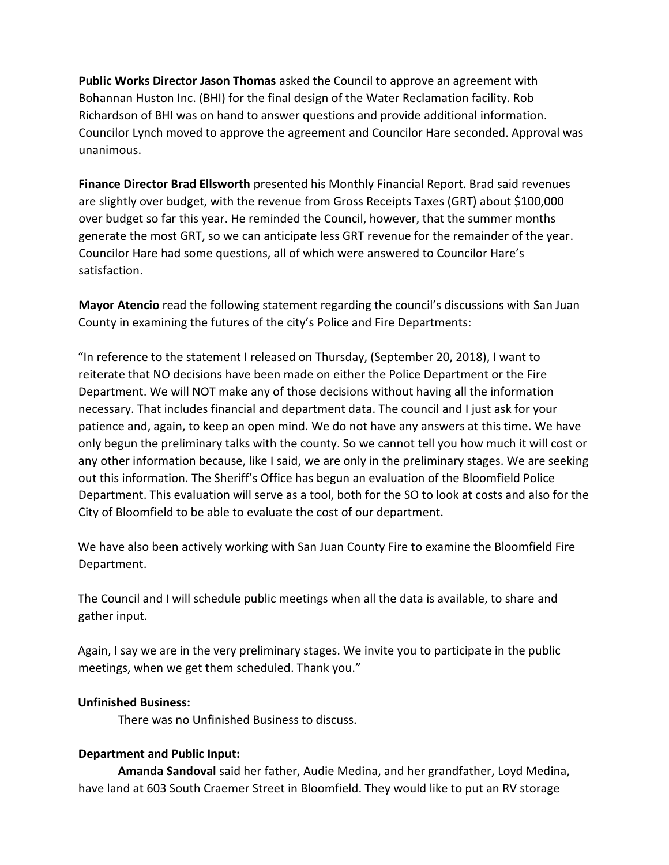**Public Works Director Jason Thomas** asked the Council to approve an agreement with Bohannan Huston Inc. (BHI) for the final design of the Water Reclamation facility. Rob Richardson of BHI was on hand to answer questions and provide additional information. Councilor Lynch moved to approve the agreement and Councilor Hare seconded. Approval was unanimous.

**Finance Director Brad Ellsworth** presented his Monthly Financial Report. Brad said revenues are slightly over budget, with the revenue from Gross Receipts Taxes (GRT) about \$100,000 over budget so far this year. He reminded the Council, however, that the summer months generate the most GRT, so we can anticipate less GRT revenue for the remainder of the year. Councilor Hare had some questions, all of which were answered to Councilor Hare's satisfaction.

**Mayor Atencio** read the following statement regarding the council's discussions with San Juan County in examining the futures of the city's Police and Fire Departments:

"In reference to the statement I released on Thursday, (September 20, 2018), I want to reiterate that NO decisions have been made on either the Police Department or the Fire Department. We will NOT make any of those decisions without having all the information necessary. That includes financial and department data. The council and I just ask for your patience and, again, to keep an open mind. We do not have any answers at this time. We have only begun the preliminary talks with the county. So we cannot tell you how much it will cost or any other information because, like I said, we are only in the preliminary stages. We are seeking out this information. The Sheriff's Office has begun an evaluation of the Bloomfield Police Department. This evaluation will serve as a tool, both for the SO to look at costs and also for the City of Bloomfield to be able to evaluate the cost of our department.

We have also been actively working with San Juan County Fire to examine the Bloomfield Fire Department.

The Council and I will schedule public meetings when all the data is available, to share and gather input.

Again, I say we are in the very preliminary stages. We invite you to participate in the public meetings, when we get them scheduled. Thank you."

# **Unfinished Business:**

There was no Unfinished Business to discuss.

# **Department and Public Input:**

**Amanda Sandoval** said her father, Audie Medina, and her grandfather, Loyd Medina, have land at 603 South Craemer Street in Bloomfield. They would like to put an RV storage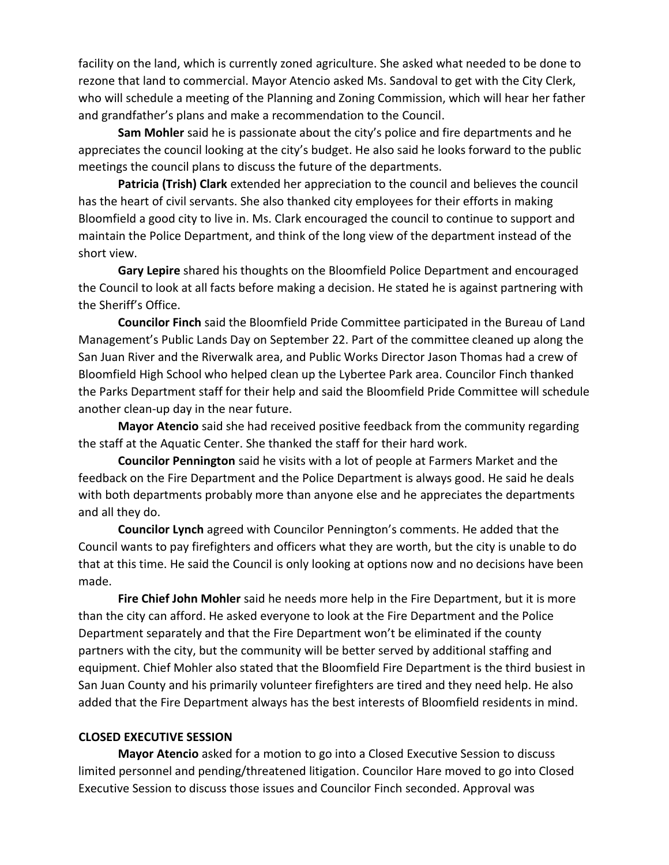facility on the land, which is currently zoned agriculture. She asked what needed to be done to rezone that land to commercial. Mayor Atencio asked Ms. Sandoval to get with the City Clerk, who will schedule a meeting of the Planning and Zoning Commission, which will hear her father and grandfather's plans and make a recommendation to the Council.

**Sam Mohler** said he is passionate about the city's police and fire departments and he appreciates the council looking at the city's budget. He also said he looks forward to the public meetings the council plans to discuss the future of the departments.

**Patricia (Trish) Clark** extended her appreciation to the council and believes the council has the heart of civil servants. She also thanked city employees for their efforts in making Bloomfield a good city to live in. Ms. Clark encouraged the council to continue to support and maintain the Police Department, and think of the long view of the department instead of the short view.

**Gary Lepire** shared his thoughts on the Bloomfield Police Department and encouraged the Council to look at all facts before making a decision. He stated he is against partnering with the Sheriff's Office.

**Councilor Finch** said the Bloomfield Pride Committee participated in the Bureau of Land Management's Public Lands Day on September 22. Part of the committee cleaned up along the San Juan River and the Riverwalk area, and Public Works Director Jason Thomas had a crew of Bloomfield High School who helped clean up the Lybertee Park area. Councilor Finch thanked the Parks Department staff for their help and said the Bloomfield Pride Committee will schedule another clean-up day in the near future.

**Mayor Atencio** said she had received positive feedback from the community regarding the staff at the Aquatic Center. She thanked the staff for their hard work.

**Councilor Pennington** said he visits with a lot of people at Farmers Market and the feedback on the Fire Department and the Police Department is always good. He said he deals with both departments probably more than anyone else and he appreciates the departments and all they do.

**Councilor Lynch** agreed with Councilor Pennington's comments. He added that the Council wants to pay firefighters and officers what they are worth, but the city is unable to do that at this time. He said the Council is only looking at options now and no decisions have been made.

**Fire Chief John Mohler** said he needs more help in the Fire Department, but it is more than the city can afford. He asked everyone to look at the Fire Department and the Police Department separately and that the Fire Department won't be eliminated if the county partners with the city, but the community will be better served by additional staffing and equipment. Chief Mohler also stated that the Bloomfield Fire Department is the third busiest in San Juan County and his primarily volunteer firefighters are tired and they need help. He also added that the Fire Department always has the best interests of Bloomfield residents in mind.

#### **CLOSED EXECUTIVE SESSION**

**Mayor Atencio** asked for a motion to go into a Closed Executive Session to discuss limited personnel and pending/threatened litigation. Councilor Hare moved to go into Closed Executive Session to discuss those issues and Councilor Finch seconded. Approval was